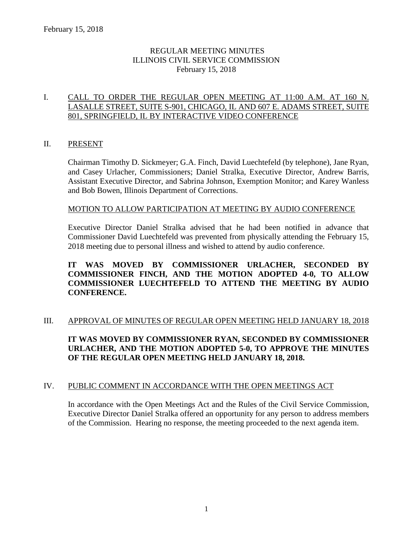## REGULAR MEETING MINUTES ILLINOIS CIVIL SERVICE COMMISSION February 15, 2018

## I. CALL TO ORDER THE REGULAR OPEN MEETING AT 11:00 A.M. AT 160 N. LASALLE STREET, SUITE S-901, CHICAGO, IL AND 607 E. ADAMS STREET, SUITE 801, SPRINGFIELD, IL BY INTERACTIVE VIDEO CONFERENCE

## II. PRESENT

Chairman Timothy D. Sickmeyer; G.A. Finch, David Luechtefeld (by telephone), Jane Ryan, and Casey Urlacher, Commissioners; Daniel Stralka, Executive Director, Andrew Barris, Assistant Executive Director, and Sabrina Johnson, Exemption Monitor; and Karey Wanless and Bob Bowen, Illinois Department of Corrections.

### MOTION TO ALLOW PARTICIPATION AT MEETING BY AUDIO CONFERENCE

Executive Director Daniel Stralka advised that he had been notified in advance that Commissioner David Luechtefeld was prevented from physically attending the February 15, 2018 meeting due to personal illness and wished to attend by audio conference.

## **IT WAS MOVED BY COMMISSIONER URLACHER, SECONDED BY COMMISSIONER FINCH, AND THE MOTION ADOPTED 4-0, TO ALLOW COMMISSIONER LUECHTEFELD TO ATTEND THE MEETING BY AUDIO CONFERENCE.**

## III. APPROVAL OF MINUTES OF REGULAR OPEN MEETING HELD JANUARY 18, 2018

**IT WAS MOVED BY COMMISSIONER RYAN, SECONDED BY COMMISSIONER URLACHER, AND THE MOTION ADOPTED 5-0, TO APPROVE THE MINUTES OF THE REGULAR OPEN MEETING HELD JANUARY 18, 2018.**

### IV. PUBLIC COMMENT IN ACCORDANCE WITH THE OPEN MEETINGS ACT

In accordance with the Open Meetings Act and the Rules of the Civil Service Commission, Executive Director Daniel Stralka offered an opportunity for any person to address members of the Commission. Hearing no response, the meeting proceeded to the next agenda item.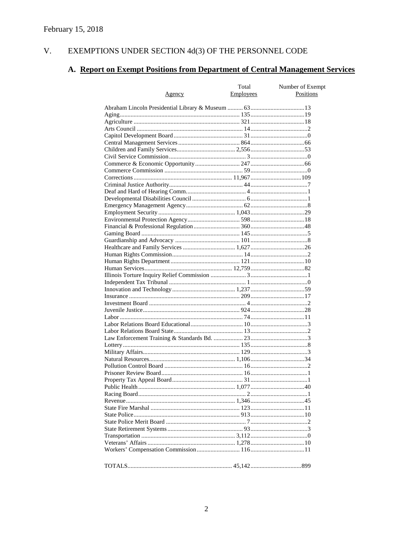#### EXEMPTIONS UNDER SECTION  $4d(3)$  OF THE PERSONNEL CODE V.

# A. Report on Exempt Positions from Department of Central Management Services

| <u>Agency</u> | Total<br>Employees | Number of Exempt<br>Positions |
|---------------|--------------------|-------------------------------|
|               |                    |                               |
|               |                    |                               |
|               |                    |                               |
|               |                    |                               |
|               |                    |                               |
|               |                    |                               |
|               |                    |                               |
|               |                    |                               |
|               |                    |                               |
|               |                    |                               |
|               |                    |                               |
|               |                    |                               |
|               |                    |                               |
|               |                    |                               |
|               |                    |                               |
|               |                    |                               |
|               |                    |                               |
|               |                    |                               |
|               |                    |                               |
|               |                    |                               |
|               |                    |                               |
|               |                    |                               |
|               |                    |                               |
|               |                    |                               |
|               |                    |                               |
|               |                    |                               |
|               |                    |                               |
|               |                    |                               |
|               |                    |                               |
|               |                    |                               |
|               |                    |                               |
|               |                    |                               |
|               |                    |                               |
|               |                    |                               |
|               |                    |                               |
|               |                    |                               |
|               |                    |                               |
|               |                    |                               |
|               |                    |                               |
|               |                    |                               |
|               |                    |                               |
|               |                    |                               |
|               |                    |                               |
|               |                    |                               |
|               |                    |                               |
|               |                    |                               |
|               |                    |                               |
|               |                    |                               |
|               |                    |                               |
|               |                    |                               |
|               |                    |                               |
|               |                    |                               |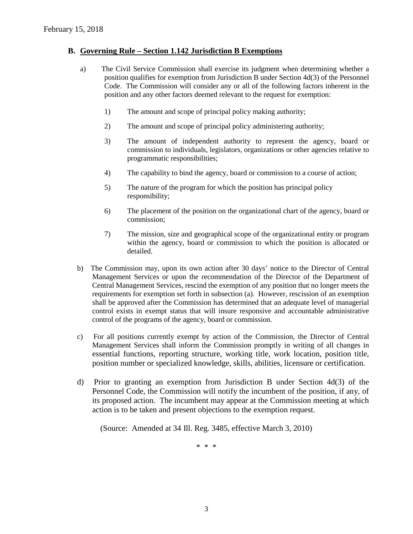#### **B. Governing Rule – Section 1.142 Jurisdiction B Exemptions**

- a) The Civil Service Commission shall exercise its judgment when determining whether a position qualifies for exemption from Jurisdiction B under Section 4d(3) of the Personnel Code. The Commission will consider any or all of the following factors inherent in the position and any other factors deemed relevant to the request for exemption:
	- 1) The amount and scope of principal policy making authority;
	- 2) The amount and scope of principal policy administering authority;
	- 3) The amount of independent authority to represent the agency, board or commission to individuals, legislators, organizations or other agencies relative to programmatic responsibilities;
	- 4) The capability to bind the agency, board or commission to a course of action;
	- 5) The nature of the program for which the position has principal policy responsibility;
	- 6) The placement of the position on the organizational chart of the agency, board or commission;
	- 7) The mission, size and geographical scope of the organizational entity or program within the agency, board or commission to which the position is allocated or detailed.
- b) The Commission may, upon its own action after 30 days' notice to the Director of Central Management Services or upon the recommendation of the Director of the Department of Central Management Services, rescind the exemption of any position that no longer meets the requirements for exemption set forth in subsection (a). However, rescission of an exemption shall be approved after the Commission has determined that an adequate level of managerial control exists in exempt status that will insure responsive and accountable administrative control of the programs of the agency, board or commission.
- c) For all positions currently exempt by action of the Commission, the Director of Central Management Services shall inform the Commission promptly in writing of all changes in essential functions, reporting structure, working title, work location, position title, position number or specialized knowledge, skills, abilities, licensure or certification.
- d) Prior to granting an exemption from Jurisdiction B under Section 4d(3) of the Personnel Code, the Commission will notify the incumbent of the position, if any, of its proposed action. The incumbent may appear at the Commission meeting at which action is to be taken and present objections to the exemption request.

(Source: Amended at 34 Ill. Reg. 3485, effective March 3, 2010)

\* \* \*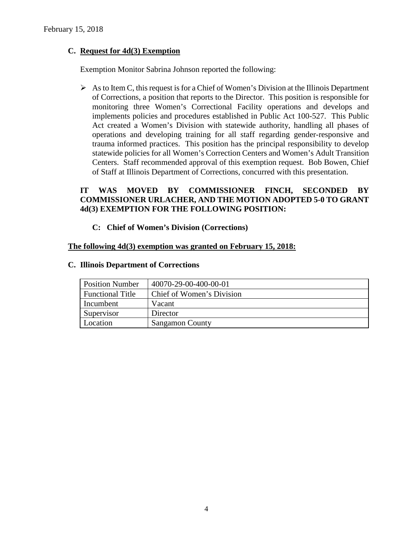## **C. Request for 4d(3) Exemption**

Exemption Monitor Sabrina Johnson reported the following:

 $\triangleright$  As to Item C, this request is for a Chief of Women's Division at the Illinois Department of Corrections, a position that reports to the Director. This position is responsible for monitoring three Women's Correctional Facility operations and develops and implements policies and procedures established in Public Act 100-527. This Public Act created a Women's Division with statewide authority, handling all phases of operations and developing training for all staff regarding gender-responsive and trauma informed practices. This position has the principal responsibility to develop statewide policies for all Women's Correction Centers and Women's Adult Transition Centers. Staff recommended approval of this exemption request. Bob Bowen, Chief of Staff at Illinois Department of Corrections, concurred with this presentation.

## **IT WAS MOVED BY COMMISSIONER FINCH, SECONDED BY COMMISSIONER URLACHER, AND THE MOTION ADOPTED 5-0 TO GRANT 4d(3) EXEMPTION FOR THE FOLLOWING POSITION:**

## **C: Chief of Women's Division (Corrections)**

## **The following 4d(3) exemption was granted on February 15, 2018:**

| <b>Position Number</b>  | 40070-29-00-400-00-01     |
|-------------------------|---------------------------|
| <b>Functional Title</b> | Chief of Women's Division |
| Incumbent               | Vacant                    |
| Supervisor              | Director                  |
| Location                | <b>Sangamon County</b>    |

#### **C. Illinois Department of Corrections**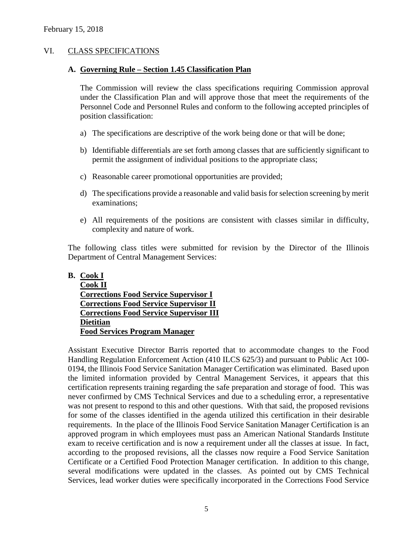### VI. CLASS SPECIFICATIONS

#### **A. Governing Rule – Section 1.45 Classification Plan**

The Commission will review the class specifications requiring Commission approval under the Classification Plan and will approve those that meet the requirements of the Personnel Code and Personnel Rules and conform to the following accepted principles of position classification:

- a) The specifications are descriptive of the work being done or that will be done;
- b) Identifiable differentials are set forth among classes that are sufficiently significant to permit the assignment of individual positions to the appropriate class;
- c) Reasonable career promotional opportunities are provided;
- d) The specifications provide a reasonable and valid basis for selection screening by merit examinations;
- e) All requirements of the positions are consistent with classes similar in difficulty, complexity and nature of work.

The following class titles were submitted for revision by the Director of the Illinois Department of Central Management Services:

#### **B. Cook I**

| <b>Cook II</b>                                 |
|------------------------------------------------|
| <b>Corrections Food Service Supervisor I</b>   |
| <b>Corrections Food Service Supervisor II</b>  |
| <b>Corrections Food Service Supervisor III</b> |
| <b>Dietitian</b>                               |
| <b>Food Services Program Manager</b>           |

Assistant Executive Director Barris reported that to accommodate changes to the Food Handling Regulation Enforcement Action (410 ILCS 625/3) and pursuant to Public Act 100- 0194, the Illinois Food Service Sanitation Manager Certification was eliminated. Based upon the limited information provided by Central Management Services, it appears that this certification represents training regarding the safe preparation and storage of food. This was never confirmed by CMS Technical Services and due to a scheduling error, a representative was not present to respond to this and other questions. With that said, the proposed revisions for some of the classes identified in the agenda utilized this certification in their desirable requirements. In the place of the Illinois Food Service Sanitation Manager Certification is an approved program in which employees must pass an American National Standards Institute exam to receive certification and is now a requirement under all the classes at issue. In fact, according to the proposed revisions, all the classes now require a Food Service Sanitation Certificate or a Certified Food Protection Manager certification. In addition to this change, several modifications were updated in the classes. As pointed out by CMS Technical Services, lead worker duties were specifically incorporated in the Corrections Food Service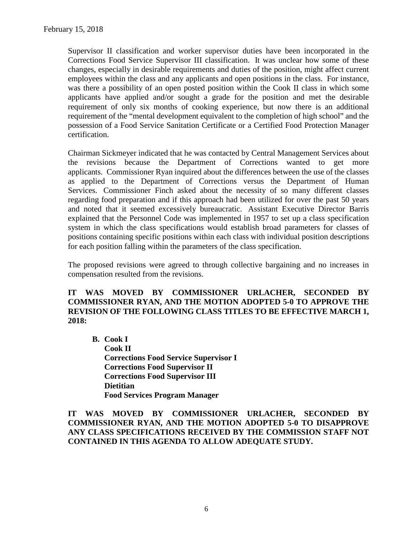Supervisor II classification and worker supervisor duties have been incorporated in the Corrections Food Service Supervisor III classification. It was unclear how some of these changes, especially in desirable requirements and duties of the position, might affect current employees within the class and any applicants and open positions in the class. For instance, was there a possibility of an open posted position within the Cook II class in which some applicants have applied and/or sought a grade for the position and met the desirable requirement of only six months of cooking experience, but now there is an additional requirement of the "mental development equivalent to the completion of high school" and the possession of a Food Service Sanitation Certificate or a Certified Food Protection Manager certification.

Chairman Sickmeyer indicated that he was contacted by Central Management Services about the revisions because the Department of Corrections wanted to get more applicants. Commissioner Ryan inquired about the differences between the use of the classes as applied to the Department of Corrections versus the Department of Human Services. Commissioner Finch asked about the necessity of so many different classes regarding food preparation and if this approach had been utilized for over the past 50 years and noted that it seemed excessively bureaucratic. Assistant Executive Director Barris explained that the Personnel Code was implemented in 1957 to set up a class specification system in which the class specifications would establish broad parameters for classes of positions containing specific positions within each class with individual position descriptions for each position falling within the parameters of the class specification.

The proposed revisions were agreed to through collective bargaining and no increases in compensation resulted from the revisions.

## **IT WAS MOVED BY COMMISSIONER URLACHER, SECONDED BY COMMISSIONER RYAN, AND THE MOTION ADOPTED 5-0 TO APPROVE THE REVISION OF THE FOLLOWING CLASS TITLES TO BE EFFECTIVE MARCH 1, 2018:**

**B. Cook I Cook II Corrections Food Service Supervisor I Corrections Food Supervisor II Corrections Food Supervisor III Dietitian Food Services Program Manager**

**IT WAS MOVED BY COMMISSIONER URLACHER, SECONDED BY COMMISSIONER RYAN, AND THE MOTION ADOPTED 5-0 TO DISAPPROVE ANY CLASS SPECIFICATIONS RECEIVED BY THE COMMISSION STAFF NOT CONTAINED IN THIS AGENDA TO ALLOW ADEQUATE STUDY.**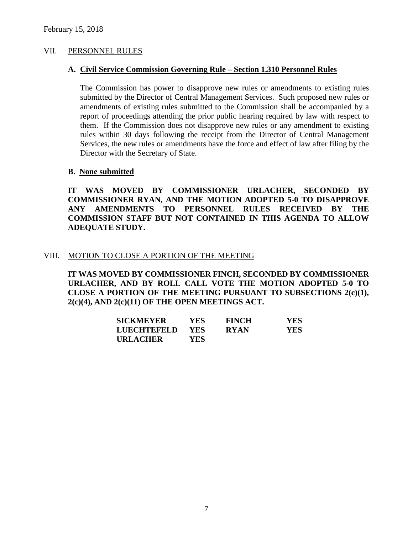#### VII. PERSONNEL RULES

#### **A. Civil Service Commission Governing Rule – Section 1.310 Personnel Rules**

The Commission has power to disapprove new rules or amendments to existing rules submitted by the Director of Central Management Services. Such proposed new rules or amendments of existing rules submitted to the Commission shall be accompanied by a report of proceedings attending the prior public hearing required by law with respect to them. If the Commission does not disapprove new rules or any amendment to existing rules within 30 days following the receipt from the Director of Central Management Services, the new rules or amendments have the force and effect of law after filing by the Director with the Secretary of State.

#### **B. None submitted**

**IT WAS MOVED BY COMMISSIONER URLACHER, SECONDED BY COMMISSIONER RYAN, AND THE MOTION ADOPTED 5-0 TO DISAPPROVE ANY AMENDMENTS TO PERSONNEL RULES RECEIVED BY THE COMMISSION STAFF BUT NOT CONTAINED IN THIS AGENDA TO ALLOW ADEQUATE STUDY.** 

#### VIII. MOTION TO CLOSE A PORTION OF THE MEETING

**IT WAS MOVED BY COMMISSIONER FINCH, SECONDED BY COMMISSIONER URLACHER, AND BY ROLL CALL VOTE THE MOTION ADOPTED 5-0 TO CLOSE A PORTION OF THE MEETING PURSUANT TO SUBSECTIONS 2(c)(1), 2(c)(4), AND 2(c)(11) OF THE OPEN MEETINGS ACT.**

| <b>SICKMEYER</b>   | YES. | <b>FINCH</b> | <b>YES</b> |
|--------------------|------|--------------|------------|
| <b>LUECHTEFELD</b> | YES. | <b>RYAN</b>  | <b>YES</b> |
| <b>URLACHER</b>    | YES  |              |            |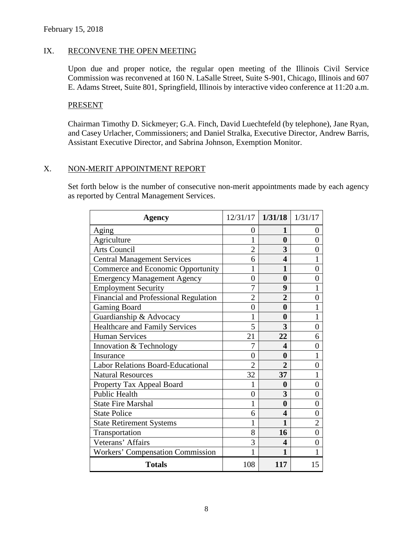### IX. RECONVENE THE OPEN MEETING

Upon due and proper notice, the regular open meeting of the Illinois Civil Service Commission was reconvened at 160 N. LaSalle Street, Suite S-901, Chicago, Illinois and 607 E. Adams Street, Suite 801, Springfield, Illinois by interactive video conference at 11:20 a.m.

#### PRESENT

Chairman Timothy D. Sickmeyer; G.A. Finch, David Luechtefeld (by telephone), Jane Ryan, and Casey Urlacher, Commissioners; and Daniel Stralka, Executive Director, Andrew Barris, Assistant Executive Director, and Sabrina Johnson, Exemption Monitor.

## X. NON-MERIT APPOINTMENT REPORT

Set forth below is the number of consecutive non-merit appointments made by each agency as reported by Central Management Services.

| <b>Agency</b>                            | $12/31/17$ 1/31/18 1/31/17 |                  |                |
|------------------------------------------|----------------------------|------------------|----------------|
| Aging                                    | 0                          | 1                | O              |
| Agriculture                              | 1                          | $\bf{0}$         | $\theta$       |
| <b>Arts Council</b>                      | $\overline{2}$             | 3                | 0              |
| <b>Central Management Services</b>       | 6                          | 4                |                |
| Commerce and Economic Opportunity        | 1                          | 1                | $\theta$       |
| <b>Emergency Management Agency</b>       | $\overline{0}$             | $\bf{0}$         | 0              |
| <b>Employment Security</b>               | 7                          | 9                |                |
| Financial and Professional Regulation    | $\overline{2}$             | $\overline{2}$   | $\overline{0}$ |
| <b>Gaming Board</b>                      | $\overline{0}$             | $\boldsymbol{0}$ | 1              |
| Guardianship & Advocacy                  | 1                          | $\bf{0}$         |                |
| Healthcare and Family Services           | 5                          | 3                | 0              |
| <b>Human Services</b>                    | 21                         | 22               | 6              |
| Innovation & Technology                  | 7                          | 4                | $\theta$       |
| Insurance                                | $\overline{0}$             | 0                |                |
| <b>Labor Relations Board-Educational</b> | $\overline{2}$             | $\overline{2}$   | 0              |
| <b>Natural Resources</b>                 | 32                         | 37               |                |
| Property Tax Appeal Board                | 1                          | 0                | $\overline{0}$ |
| <b>Public Health</b>                     | $\overline{0}$             | 3                | 0              |
| <b>State Fire Marshal</b>                | 1                          | 0                | 0              |
| <b>State Police</b>                      | 6                          | 4                | 0              |
| <b>State Retirement Systems</b>          | 1                          | 1                | $\overline{2}$ |
| Transportation                           | 8                          | 16               | 0              |
| Veterans' Affairs                        | 3                          | 4                | $\theta$       |
| <b>Workers' Compensation Commission</b>  | 1                          | 1                |                |
| <b>Totals</b>                            | 108                        | 117              | 15             |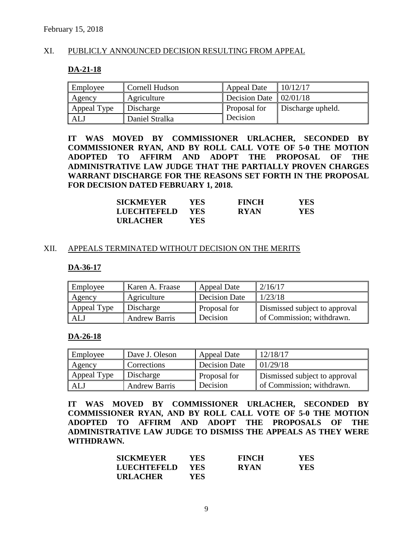## XI. PUBLICLY ANNOUNCED DECISION RESULTING FROM APPEAL

#### **DA-21-18**

| Employee    | Cornell Hudson | Appeal Date          | 10/12/17          |
|-------------|----------------|----------------------|-------------------|
| Agency      | Agriculture    | <b>Decision Date</b> | 02/01/18          |
| Appeal Type | Discharge      | Proposal for         | Discharge upheld. |
| <b>ALJ</b>  | Daniel Stralka | Decision             |                   |

**IT WAS MOVED BY COMMISSIONER URLACHER, SECONDED BY COMMISSIONER RYAN, AND BY ROLL CALL VOTE OF 5-0 THE MOTION ADOPTED TO AFFIRM AND ADOPT THE PROPOSAL OF THE ADMINISTRATIVE LAW JUDGE THAT THE PARTIALLY PROVEN CHARGES WARRANT DISCHARGE FOR THE REASONS SET FORTH IN THE PROPOSAL FOR DECISION DATED FEBRUARY 1, 2018.**

| <b>SICKMEYER</b>   | YES.       | <b>FINCH</b> | YES  |
|--------------------|------------|--------------|------|
| <b>LUECHTEFELD</b> | <b>YES</b> | <b>RYAN</b>  | YES. |
| <b>URLACHER</b>    | YES.       |              |      |

#### XII. APPEALS TERMINATED WITHOUT DECISION ON THE MERITS

#### **DA-36-17**

| Employee    | Karen A. Fraase      | Appeal Date   | 2/16/17                       |
|-------------|----------------------|---------------|-------------------------------|
| Agency      | Agriculture          | Decision Date | 1/23/18                       |
| Appeal Type | Discharge            | Proposal for  | Dismissed subject to approval |
| ALJ         | <b>Andrew Barris</b> | Decision      | of Commission; withdrawn.     |

#### **DA-26-18**

| Employee    | Dave J. Oleson       | Appeal Date          | 12/18/17                      |
|-------------|----------------------|----------------------|-------------------------------|
| Agency      | <b>Corrections</b>   | <b>Decision Date</b> | 01/29/18                      |
| Appeal Type | Discharge            | Proposal for         | Dismissed subject to approval |
| ALJ         | <b>Andrew Barris</b> | Decision             | of Commission; withdrawn.     |

**IT WAS MOVED BY COMMISSIONER URLACHER, SECONDED BY COMMISSIONER RYAN, AND BY ROLL CALL VOTE OF 5-0 THE MOTION ADOPTED TO AFFIRM AND ADOPT THE PROPOSALS OF THE ADMINISTRATIVE LAW JUDGE TO DISMISS THE APPEALS AS THEY WERE WITHDRAWN.**

| <b>SICKMEYER</b> | YES-       | <b>FINCH</b> | <b>YES</b> |
|------------------|------------|--------------|------------|
| LUECHTEFELD      | <b>YES</b> | <b>RYAN</b>  | <b>YES</b> |
| <b>URLACHER</b>  | YES.       |              |            |